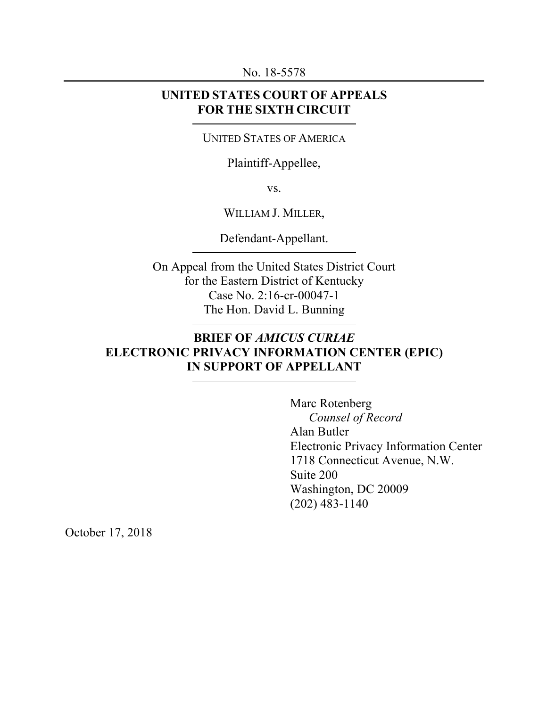No. 18-5578

# **UNITED STATES COURT OF APPEALS FOR THE SIXTH CIRCUIT**

#### UNITED STATES OF AMERICA

## Plaintiff-Appellee,

vs.

#### WILLIAM J. MILLER,

Defendant-Appellant.

On Appeal from the United States District Court for the Eastern District of Kentucky Case No. 2:16-cr-00047-1 The Hon. David L. Bunning

# **BRIEF OF** *AMICUS CURIAE*  **ELECTRONIC PRIVACY INFORMATION CENTER (EPIC) IN SUPPORT OF APPELLANT**

Marc Rotenberg *Counsel of Record* Alan Butler Electronic Privacy Information Center 1718 Connecticut Avenue, N.W. Suite 200 Washington, DC 20009 (202) 483-1140

October 17, 2018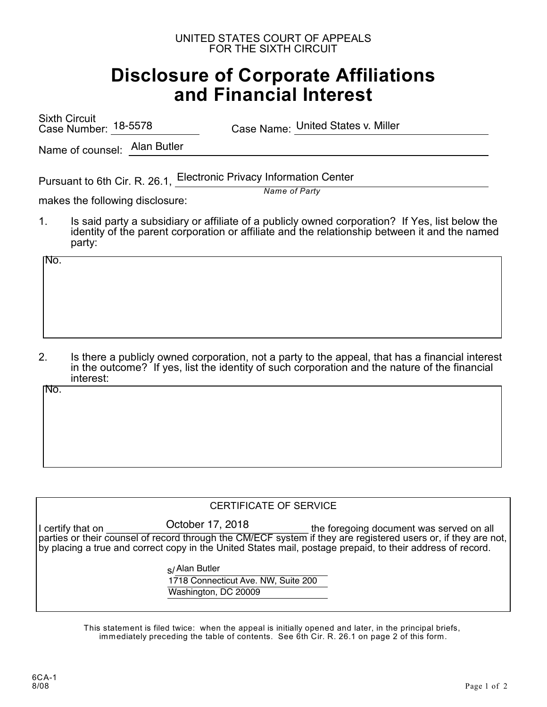#### UNITED STATES COURT OF APPEALS FOR THE SIXTH CIRCUIT

# **Disclosure of Corporate Affiliations and Financial Interest**

Sixth Circuit Case Number: 18-5578

Case Name: United States v. Miller

Name of counsel: Alan Butler

Pursuant to 6th Cir. R. 26.1, Electronic Privacy Information Center

*Name of Party*

makes the following disclosure:

1. Is said party a subsidiary or affiliate of a publicly owned corporation? If Yes, list below the identity of the parent corporation or affiliate and the relationship between it and the named party:

No.

2. Is there a publicly owned corporation, not a party to the appeal, that has a financial interest in the outcome? If yes, list the identity of such corporation and the nature of the financial interest:

No.

#### CERTIFICATE OF SERVICE

I certify that on The Succious COLLODER 17, 2018 The foregoing document was served on all parties or their counsel of record through the CM/ECF system if they are registered users or, if they are not, by placing a true and correct copy in the United States mail, postage prepaid, to their address of record. October 17, 2018

s/ Alan Butler

1718 Connecticut Ave. NW, Suite 200 Washington, DC 20009

This statement is filed twice: when the appeal is initially opened and later, in the principal briefs, immediately preceding the table of contents. See 6th Cir. R. 26.1 on page 2 of this form.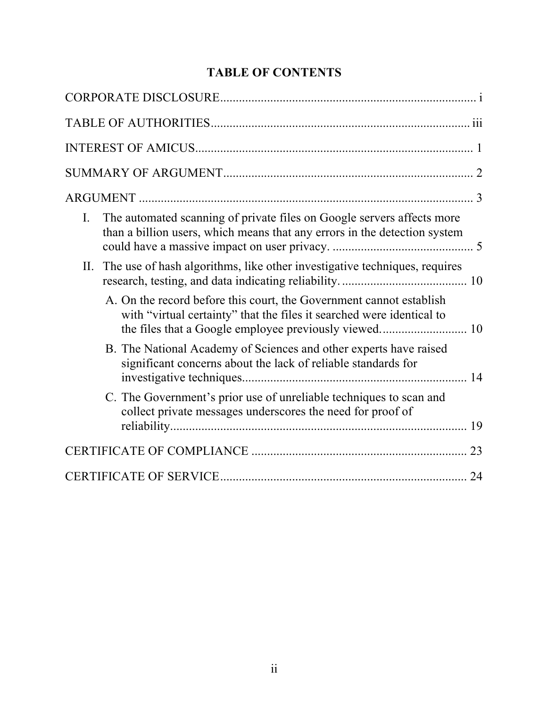# **TABLE OF CONTENTS**

| The automated scanning of private files on Google servers affects more<br>I.<br>than a billion users, which means that any errors in the detection system |
|-----------------------------------------------------------------------------------------------------------------------------------------------------------|
| The use of hash algorithms, like other investigative techniques, requires<br>II.                                                                          |
| A. On the record before this court, the Government cannot establish<br>with "virtual certainty" that the files it searched were identical to              |
| B. The National Academy of Sciences and other experts have raised<br>significant concerns about the lack of reliable standards for                        |
| C. The Government's prior use of unreliable techniques to scan and<br>collect private messages underscores the need for proof of                          |
|                                                                                                                                                           |
| 24                                                                                                                                                        |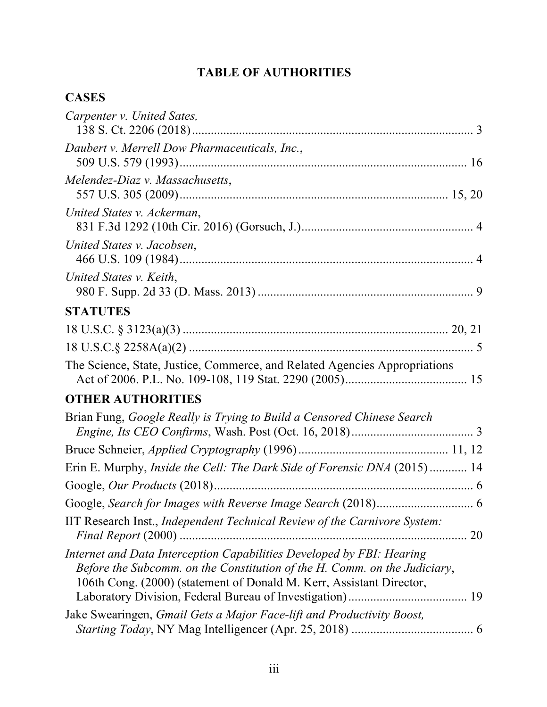# **TABLE OF AUTHORITIES**

# **CASES**

| Carpenter v. United Sates,                                                                                                                                                                                                 |
|----------------------------------------------------------------------------------------------------------------------------------------------------------------------------------------------------------------------------|
| Daubert v. Merrell Dow Pharmaceuticals, Inc.,                                                                                                                                                                              |
| Melendez-Diaz v. Massachusetts,                                                                                                                                                                                            |
| United States v. Ackerman,                                                                                                                                                                                                 |
| United States v. Jacobsen,                                                                                                                                                                                                 |
| United States v. Keith,                                                                                                                                                                                                    |
| <b>STATUTES</b>                                                                                                                                                                                                            |
|                                                                                                                                                                                                                            |
|                                                                                                                                                                                                                            |
| The Science, State, Justice, Commerce, and Related Agencies Appropriations                                                                                                                                                 |
| <b>OTHER AUTHORITIES</b>                                                                                                                                                                                                   |
| Brian Fung, Google Really is Trying to Build a Censored Chinese Search                                                                                                                                                     |
|                                                                                                                                                                                                                            |
| Erin E. Murphy, <i>Inside the Cell: The Dark Side of Forensic DNA</i> (2015) 14                                                                                                                                            |
|                                                                                                                                                                                                                            |
|                                                                                                                                                                                                                            |
| IIT Research Inst., Independent Technical Review of the Carnivore System:                                                                                                                                                  |
| Internet and Data Interception Capabilities Developed by FBI: Hearing<br>Before the Subcomm. on the Constitution of the H. Comm. on the Judiciary,<br>106th Cong. (2000) (statement of Donald M. Kerr, Assistant Director, |
| Jake Swearingen, Gmail Gets a Major Face-lift and Productivity Boost,                                                                                                                                                      |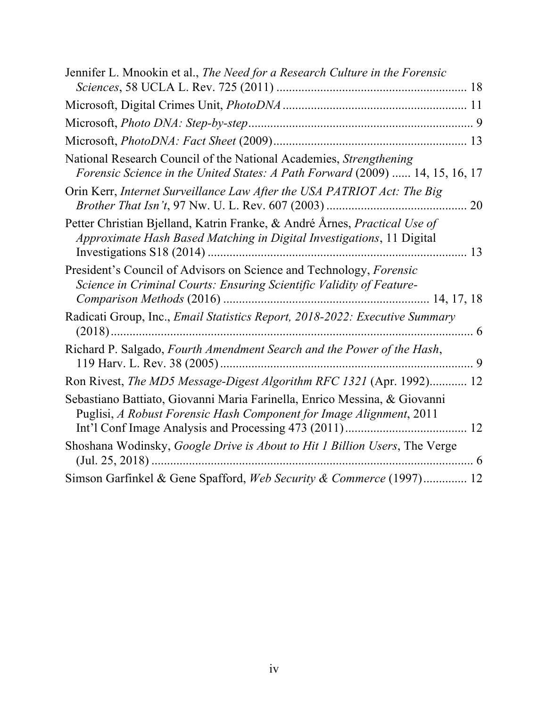| Jennifer L. Mnookin et al., The Need for a Research Culture in the Forensic                                                                        |  |
|----------------------------------------------------------------------------------------------------------------------------------------------------|--|
|                                                                                                                                                    |  |
|                                                                                                                                                    |  |
|                                                                                                                                                    |  |
| National Research Council of the National Academies, Strengthening<br>Forensic Science in the United States: A Path Forward (2009)  14, 15, 16, 17 |  |
| Orin Kerr, Internet Surveillance Law After the USA PATRIOT Act: The Big                                                                            |  |
| Petter Christian Bjelland, Katrin Franke, & André Årnes, Practical Use of<br>Approximate Hash Based Matching in Digital Investigations, 11 Digital |  |
| President's Council of Advisors on Science and Technology, Forensic<br>Science in Criminal Courts: Ensuring Scientific Validity of Feature-        |  |
| Radicati Group, Inc., Email Statistics Report, 2018-2022: Executive Summary                                                                        |  |
| Richard P. Salgado, Fourth Amendment Search and the Power of the Hash,                                                                             |  |
| Ron Rivest, The MD5 Message-Digest Algorithm RFC 1321 (Apr. 1992) 12                                                                               |  |
| Sebastiano Battiato, Giovanni Maria Farinella, Enrico Messina, & Giovanni<br>Puglisi, A Robust Forensic Hash Component for Image Alignment, 2011   |  |
| Shoshana Wodinsky, Google Drive is About to Hit 1 Billion Users, The Verge                                                                         |  |
| Simson Garfinkel & Gene Spafford, Web Security & Commerce (1997) 12                                                                                |  |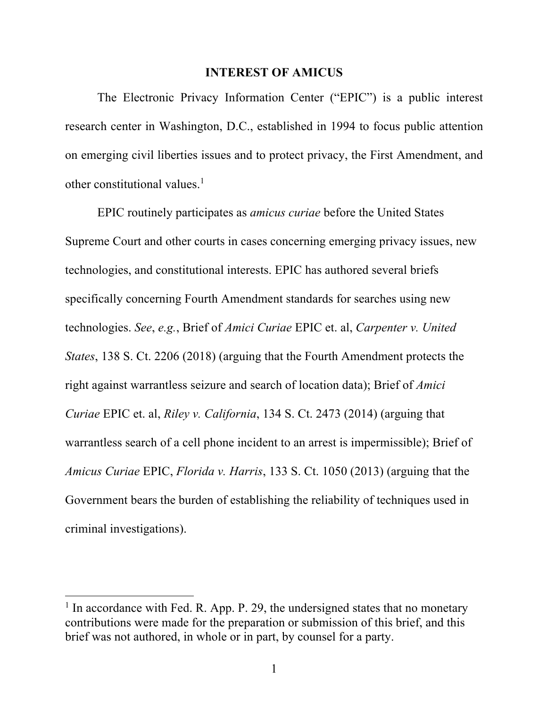#### **INTEREST OF AMICUS**

The Electronic Privacy Information Center ("EPIC") is a public interest research center in Washington, D.C., established in 1994 to focus public attention on emerging civil liberties issues and to protect privacy, the First Amendment, and other constitutional values. $<sup>1</sup>$ </sup>

EPIC routinely participates as *amicus curiae* before the United States Supreme Court and other courts in cases concerning emerging privacy issues, new technologies, and constitutional interests. EPIC has authored several briefs specifically concerning Fourth Amendment standards for searches using new technologies. *See*, *e.g.*, Brief of *Amici Curiae* EPIC et. al, *Carpenter v. United States*, 138 S. Ct. 2206 (2018) (arguing that the Fourth Amendment protects the right against warrantless seizure and search of location data); Brief of *Amici Curiae* EPIC et. al, *Riley v. California*, 134 S. Ct. 2473 (2014) (arguing that warrantless search of a cell phone incident to an arrest is impermissible); Brief of *Amicus Curiae* EPIC, *Florida v. Harris*, 133 S. Ct. 1050 (2013) (arguing that the Government bears the burden of establishing the reliability of techniques used in criminal investigations).

 $<sup>1</sup>$  In accordance with Fed. R. App. P. 29, the undersigned states that no monetary</sup> contributions were made for the preparation or submission of this brief, and this brief was not authored, in whole or in part, by counsel for a party.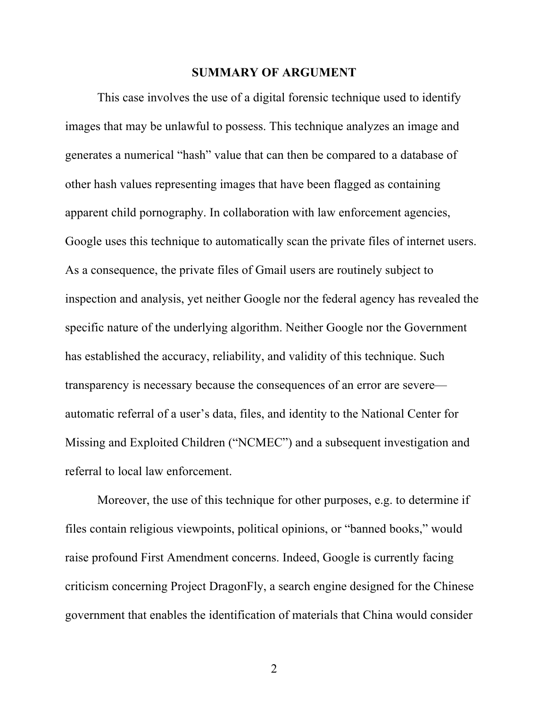#### **SUMMARY OF ARGUMENT**

This case involves the use of a digital forensic technique used to identify images that may be unlawful to possess. This technique analyzes an image and generates a numerical "hash" value that can then be compared to a database of other hash values representing images that have been flagged as containing apparent child pornography. In collaboration with law enforcement agencies, Google uses this technique to automatically scan the private files of internet users. As a consequence, the private files of Gmail users are routinely subject to inspection and analysis, yet neither Google nor the federal agency has revealed the specific nature of the underlying algorithm. Neither Google nor the Government has established the accuracy, reliability, and validity of this technique. Such transparency is necessary because the consequences of an error are severe automatic referral of a user's data, files, and identity to the National Center for Missing and Exploited Children ("NCMEC") and a subsequent investigation and referral to local law enforcement.

Moreover, the use of this technique for other purposes, e.g. to determine if files contain religious viewpoints, political opinions, or "banned books," would raise profound First Amendment concerns. Indeed, Google is currently facing criticism concerning Project DragonFly, a search engine designed for the Chinese government that enables the identification of materials that China would consider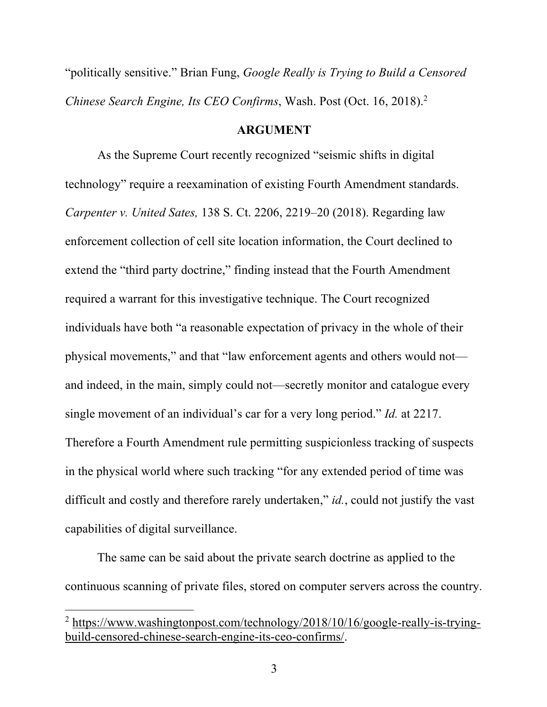"politically sensitive." Brian Fung, *Google Really is Trying to Build a Censored Chinese Search Engine, Its CEO Confirms*, Wash. Post (Oct. 16, 2018). 2

#### **ARGUMENT**

As the Supreme Court recently recognized "seismic shifts in digital technology" require a reexamination of existing Fourth Amendment standards. *Carpenter v. United Sates,* 138 S. Ct. 2206, 2219–20 (2018). Regarding law enforcement collection of cell site location information, the Court declined to extend the "third party doctrine," finding instead that the Fourth Amendment required a warrant for this investigative technique. The Court recognized individuals have both "a reasonable expectation of privacy in the whole of their physical movements," and that "law enforcement agents and others would not and indeed, in the main, simply could not—secretly monitor and catalogue every single movement of an individual's car for a very long period." *Id.* at 2217. Therefore a Fourth Amendment rule permitting suspicionless tracking of suspects in the physical world where such tracking "for any extended period of time was difficult and costly and therefore rarely undertaken," *id.*, could not justify the vast capabilities of digital surveillance.

The same can be said about the private search doctrine as applied to the continuous scanning of private files, stored on computer servers across the country.

<sup>&</sup>lt;sup>2</sup> https://www.washingtonpost.com/technology/2018/10/16/google-really-is-tryingbuild-censored-chinese-search-engine-its-ceo-confirms/.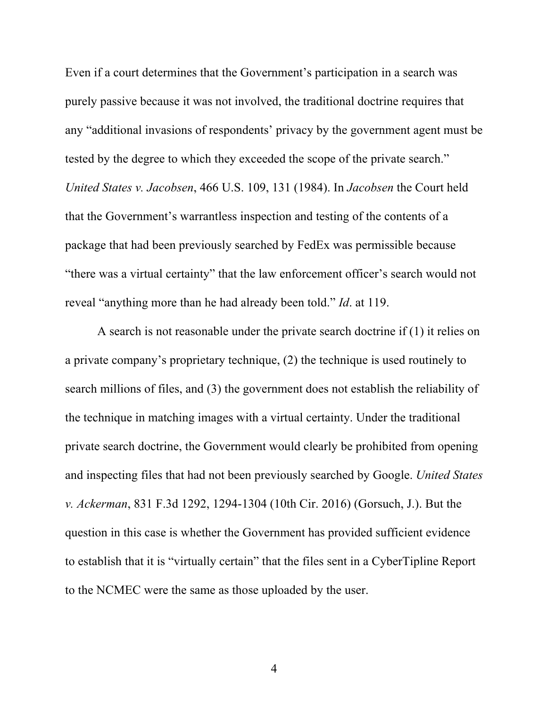Even if a court determines that the Government's participation in a search was purely passive because it was not involved, the traditional doctrine requires that any "additional invasions of respondents' privacy by the government agent must be tested by the degree to which they exceeded the scope of the private search." *United States v. Jacobsen*, 466 U.S. 109, 131 (1984). In *Jacobsen* the Court held that the Government's warrantless inspection and testing of the contents of a package that had been previously searched by FedEx was permissible because "there was a virtual certainty" that the law enforcement officer's search would not reveal "anything more than he had already been told." *Id*. at 119.

A search is not reasonable under the private search doctrine if (1) it relies on a private company's proprietary technique, (2) the technique is used routinely to search millions of files, and (3) the government does not establish the reliability of the technique in matching images with a virtual certainty. Under the traditional private search doctrine, the Government would clearly be prohibited from opening and inspecting files that had not been previously searched by Google. *United States v. Ackerman*, 831 F.3d 1292, 1294-1304 (10th Cir. 2016) (Gorsuch, J.). But the question in this case is whether the Government has provided sufficient evidence to establish that it is "virtually certain" that the files sent in a CyberTipline Report to the NCMEC were the same as those uploaded by the user.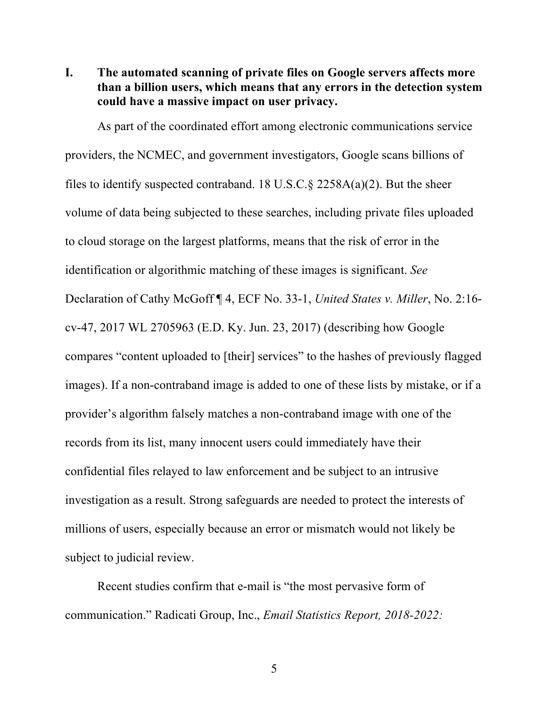**I. The automated scanning of private files on Google servers affects more than a billion users, which means that any errors in the detection system could have a massive impact on user privacy.** 

As part of the coordinated effort among electronic communications service providers, the NCMEC, and government investigators, Google scans billions of files to identify suspected contraband. 18 U.S.C.  $\S$  2258A(a)(2). But the sheer volume of data being subjected to these searches, including private files uploaded to cloud storage on the largest platforms, means that the risk of error in the identification or algorithmic matching of these images is significant. *See*  Declaration of Cathy McGoff ¶ 4, ECF No. 33-1, *United States v. Miller*, No. 2:16 cv-47, 2017 WL 2705963 (E.D. Ky. Jun. 23, 2017) (describing how Google compares "content uploaded to [their] services" to the hashes of previously flagged images). If a non-contraband image is added to one of these lists by mistake, or if a provider's algorithm falsely matches a non-contraband image with one of the records from its list, many innocent users could immediately have their confidential files relayed to law enforcement and be subject to an intrusive investigation as a result. Strong safeguards are needed to protect the interests of millions of users, especially because an error or mismatch would not likely be subject to judicial review.

Recent studies confirm that e-mail is "the most pervasive form of communication." Radicati Group, Inc., *Email Statistics Report, 2018-2022:*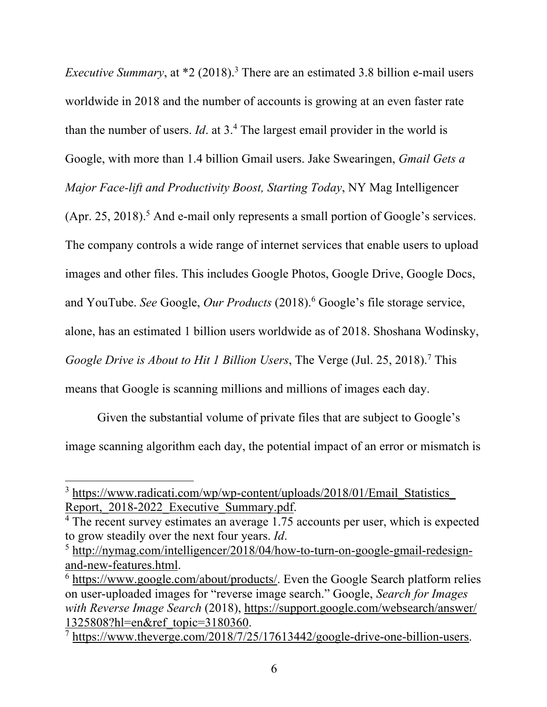*Executive Summary*, at \*2 (2018).<sup>3</sup> There are an estimated 3.8 billion e-mail users worldwide in 2018 and the number of accounts is growing at an even faster rate than the number of users. *Id*. at 3.4 The largest email provider in the world is Google, with more than 1.4 billion Gmail users. Jake Swearingen, *Gmail Gets a Major Face-lift and Productivity Boost, Starting Today*, NY Mag Intelligencer

(Apr. 25, 2018). <sup>5</sup> And e-mail only represents a small portion of Google's services. The company controls a wide range of internet services that enable users to upload images and other files. This includes Google Photos, Google Drive, Google Docs, and YouTube. *See* Google, *Our Products* (2018). <sup>6</sup> Google's file storage service, alone, has an estimated 1 billion users worldwide as of 2018. Shoshana Wodinsky, *Google Drive is About to Hit 1 Billion Users*, The Verge (Jul. 25, 2018). <sup>7</sup> This means that Google is scanning millions and millions of images each day.

Given the substantial volume of private files that are subject to Google's image scanning algorithm each day, the potential impact of an error or mismatch is

<sup>&</sup>lt;sup>3</sup> https://www.radicati.com/wp/wp-content/uploads/2018/01/Email\_Statistics Report, 2018-2022 Executive Summary.pdf. 4 The recent survey estimates an average 1.75 accounts per user, which is expected

to grow steadily over the next four years. *Id*.

<sup>5</sup> http://nymag.com/intelligencer/2018/04/how-to-turn-on-google-gmail-redesignand-new-features.html.<br><sup>6</sup> https://www.google.com/about/products/. Even the Google Search platform relies

on user-uploaded images for "reverse image search." Google, *Search for Images with Reverse Image Search* (2018), https://support.google.com/websearch/answer/  $\frac{1325808?hl=en&ref\_topic=3180360.}{7~https://www.theverge.com/2018/7/25/17613442/google-drivenive-one-billion-users.}$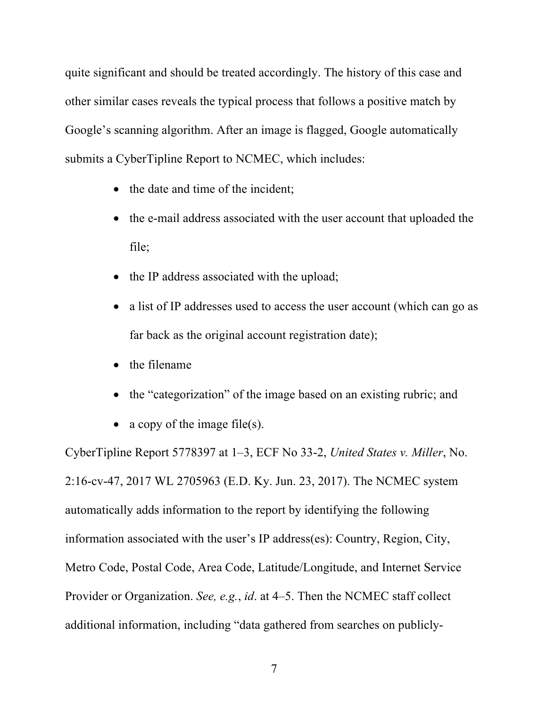quite significant and should be treated accordingly. The history of this case and other similar cases reveals the typical process that follows a positive match by Google's scanning algorithm. After an image is flagged, Google automatically submits a CyberTipline Report to NCMEC, which includes:

- the date and time of the incident;
- the e-mail address associated with the user account that uploaded the file;
- the IP address associated with the upload;
- a list of IP addresses used to access the user account (which can go as far back as the original account registration date);
- the filename
- the "categorization" of the image based on an existing rubric; and
- a copy of the image file(s).

CyberTipline Report 5778397 at 1–3, ECF No 33-2, *United States v. Miller*, No. 2:16-cv-47, 2017 WL 2705963 (E.D. Ky. Jun. 23, 2017). The NCMEC system automatically adds information to the report by identifying the following information associated with the user's IP address(es): Country, Region, City, Metro Code, Postal Code, Area Code, Latitude/Longitude, and Internet Service Provider or Organization. *See, e.g.*, *id*. at 4–5. Then the NCMEC staff collect additional information, including "data gathered from searches on publicly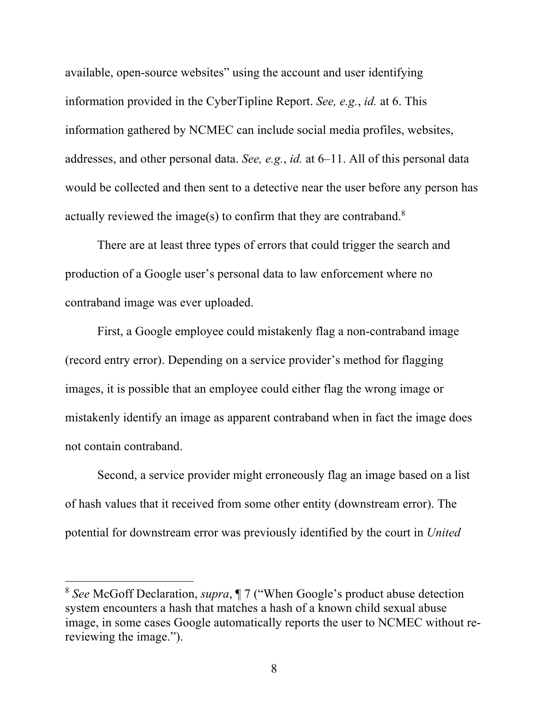available, open-source websites" using the account and user identifying information provided in the CyberTipline Report. *See, e.g.*, *id.* at 6. This information gathered by NCMEC can include social media profiles, websites, addresses, and other personal data. *See, e.g.*, *id.* at 6–11. All of this personal data would be collected and then sent to a detective near the user before any person has actually reviewed the image(s) to confirm that they are contraband.<sup>8</sup>

There are at least three types of errors that could trigger the search and production of a Google user's personal data to law enforcement where no contraband image was ever uploaded.

First, a Google employee could mistakenly flag a non-contraband image (record entry error). Depending on a service provider's method for flagging images, it is possible that an employee could either flag the wrong image or mistakenly identify an image as apparent contraband when in fact the image does not contain contraband.

Second, a service provider might erroneously flag an image based on a list of hash values that it received from some other entity (downstream error). The potential for downstream error was previously identified by the court in *United* 

<sup>8</sup> *See* McGoff Declaration, *supra*, ¶ 7 ("When Google's product abuse detection system encounters a hash that matches a hash of a known child sexual abuse image, in some cases Google automatically reports the user to NCMEC without rereviewing the image.").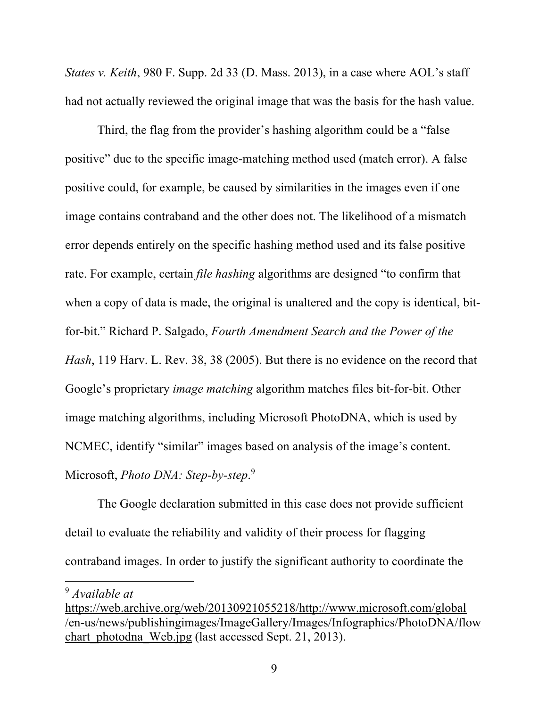*States v. Keith*, 980 F. Supp. 2d 33 (D. Mass. 2013), in a case where AOL's staff had not actually reviewed the original image that was the basis for the hash value.

Third, the flag from the provider's hashing algorithm could be a "false positive" due to the specific image-matching method used (match error). A false positive could, for example, be caused by similarities in the images even if one image contains contraband and the other does not. The likelihood of a mismatch error depends entirely on the specific hashing method used and its false positive rate. For example, certain *file hashing* algorithms are designed "to confirm that when a copy of data is made, the original is unaltered and the copy is identical, bitfor-bit." Richard P. Salgado, *Fourth Amendment Search and the Power of the Hash*, 119 Harv. L. Rev. 38, 38 (2005). But there is no evidence on the record that Google's proprietary *image matching* algorithm matches files bit-for-bit. Other image matching algorithms, including Microsoft PhotoDNA, which is used by NCMEC, identify "similar" images based on analysis of the image's content. Microsoft, *Photo DNA: Step-by-step*. 9

The Google declaration submitted in this case does not provide sufficient detail to evaluate the reliability and validity of their process for flagging contraband images. In order to justify the significant authority to coordinate the

<sup>9</sup> *Available at*

https://web.archive.org/web/20130921055218/http://www.microsoft.com/global /en-us/news/publishingimages/ImageGallery/Images/Infographics/PhotoDNA/flow chart photodna Web.jpg (last accessed Sept. 21, 2013).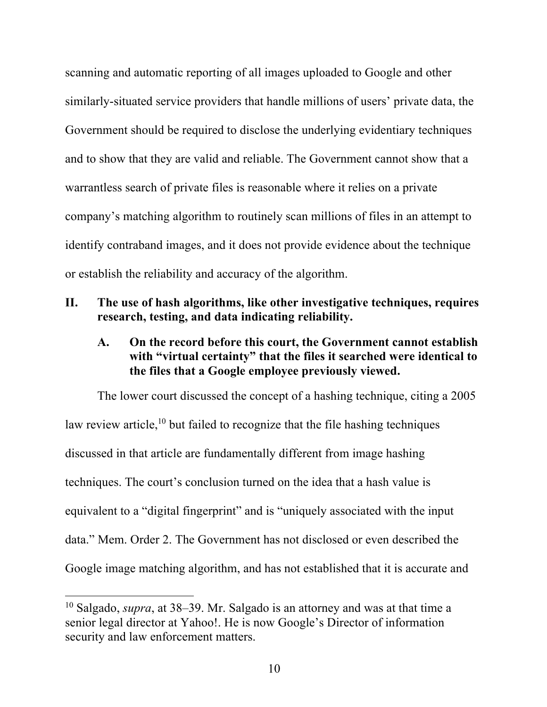scanning and automatic reporting of all images uploaded to Google and other similarly-situated service providers that handle millions of users' private data, the Government should be required to disclose the underlying evidentiary techniques and to show that they are valid and reliable. The Government cannot show that a warrantless search of private files is reasonable where it relies on a private company's matching algorithm to routinely scan millions of files in an attempt to identify contraband images, and it does not provide evidence about the technique or establish the reliability and accuracy of the algorithm.

## **II. The use of hash algorithms, like other investigative techniques, requires research, testing, and data indicating reliability.**

# **A. On the record before this court, the Government cannot establish with "virtual certainty" that the files it searched were identical to the files that a Google employee previously viewed.**

The lower court discussed the concept of a hashing technique, citing a 2005 law review article, $10$  but failed to recognize that the file hashing techniques discussed in that article are fundamentally different from image hashing techniques. The court's conclusion turned on the idea that a hash value is equivalent to a "digital fingerprint" and is "uniquely associated with the input data." Mem. Order 2. The Government has not disclosed or even described the Google image matching algorithm, and has not established that it is accurate and

<sup>10</sup> Salgado, *supra*, at 38–39. Mr. Salgado is an attorney and was at that time a senior legal director at Yahoo!. He is now Google's Director of information security and law enforcement matters.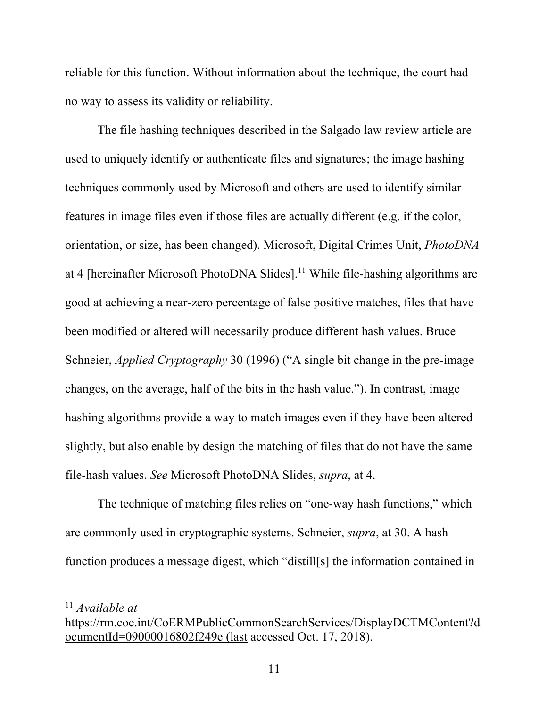reliable for this function. Without information about the technique, the court had no way to assess its validity or reliability.

The file hashing techniques described in the Salgado law review article are used to uniquely identify or authenticate files and signatures; the image hashing techniques commonly used by Microsoft and others are used to identify similar features in image files even if those files are actually different (e.g. if the color, orientation, or size, has been changed). Microsoft, Digital Crimes Unit, *PhotoDNA* at 4 [hereinafter Microsoft PhotoDNA Slides].<sup>11</sup> While file-hashing algorithms are good at achieving a near-zero percentage of false positive matches, files that have been modified or altered will necessarily produce different hash values. Bruce Schneier, *Applied Cryptography* 30 (1996) ("A single bit change in the pre-image changes, on the average, half of the bits in the hash value."). In contrast, image hashing algorithms provide a way to match images even if they have been altered slightly, but also enable by design the matching of files that do not have the same file-hash values. *See* Microsoft PhotoDNA Slides, *supra*, at 4.

The technique of matching files relies on "one-way hash functions," which are commonly used in cryptographic systems. Schneier, *supra*, at 30. A hash function produces a message digest, which "distill[s] the information contained in

<sup>11</sup> *Available at*

https://rm.coe.int/CoERMPublicCommonSearchServices/DisplayDCTMContent?d ocumentId=09000016802f249e (last accessed Oct. 17, 2018).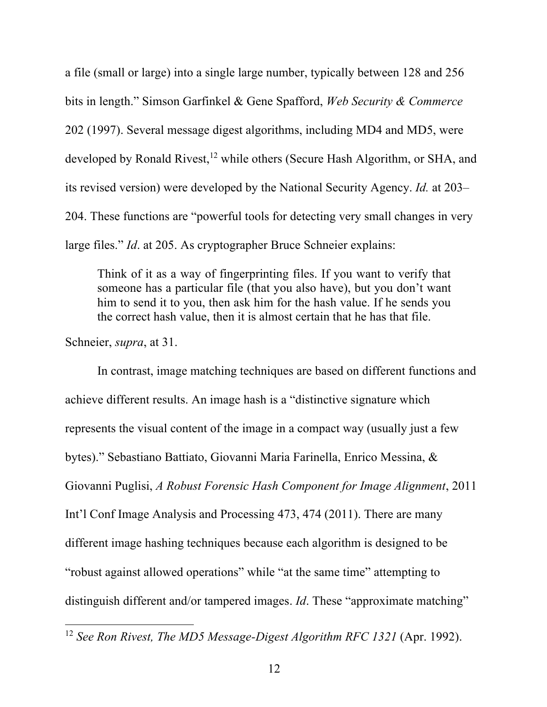a file (small or large) into a single large number, typically between 128 and 256 bits in length." Simson Garfinkel & Gene Spafford, *Web Security & Commerce*  202 (1997). Several message digest algorithms, including MD4 and MD5, were developed by Ronald Rivest,<sup>12</sup> while others (Secure Hash Algorithm, or SHA, and its revised version) were developed by the National Security Agency. *Id.* at 203– 204. These functions are "powerful tools for detecting very small changes in very large files." *Id*. at 205. As cryptographer Bruce Schneier explains:

Think of it as a way of fingerprinting files. If you want to verify that someone has a particular file (that you also have), but you don't want him to send it to you, then ask him for the hash value. If he sends you the correct hash value, then it is almost certain that he has that file.

Schneier, *supra*, at 31.

 

In contrast, image matching techniques are based on different functions and achieve different results. An image hash is a "distinctive signature which represents the visual content of the image in a compact way (usually just a few bytes)." Sebastiano Battiato, Giovanni Maria Farinella, Enrico Messina, & Giovanni Puglisi, *A Robust Forensic Hash Component for Image Alignment*, 2011 Int'l Conf Image Analysis and Processing 473, 474 (2011). There are many different image hashing techniques because each algorithm is designed to be "robust against allowed operations" while "at the same time" attempting to distinguish different and/or tampered images. *Id*. These "approximate matching"

<sup>&</sup>lt;sup>12</sup> See Ron Rivest, The MD5 Message-Digest Algorithm RFC 1321 (Apr. 1992).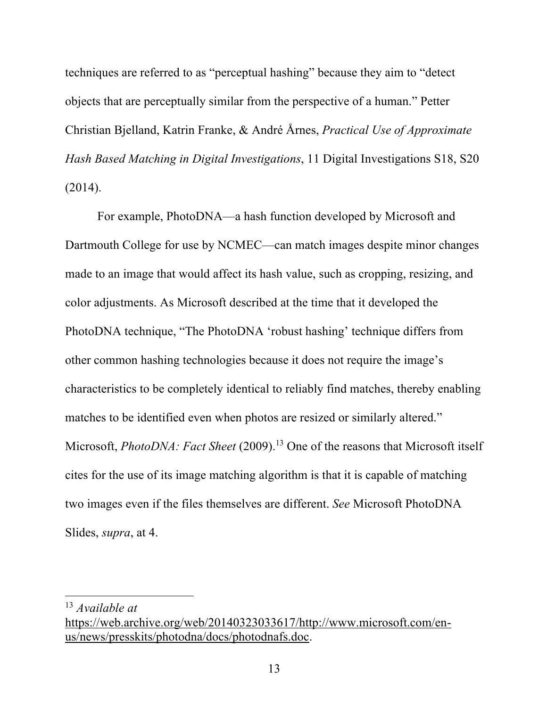techniques are referred to as "perceptual hashing" because they aim to "detect objects that are perceptually similar from the perspective of a human." Petter Christian Bjelland, Katrin Franke, & André Årnes, *Practical Use of Approximate Hash Based Matching in Digital Investigations*, 11 Digital Investigations S18, S20 (2014).

For example, PhotoDNA—a hash function developed by Microsoft and Dartmouth College for use by NCMEC—can match images despite minor changes made to an image that would affect its hash value, such as cropping, resizing, and color adjustments. As Microsoft described at the time that it developed the PhotoDNA technique, "The PhotoDNA 'robust hashing' technique differs from other common hashing technologies because it does not require the image's characteristics to be completely identical to reliably find matches, thereby enabling matches to be identified even when photos are resized or similarly altered." Microsoft, *PhotoDNA: Fact Sheet* (2009). <sup>13</sup> One of the reasons that Microsoft itself cites for the use of its image matching algorithm is that it is capable of matching two images even if the files themselves are different. *See* Microsoft PhotoDNA Slides, *supra*, at 4.

<sup>13</sup> *Available at*

https://web.archive.org/web/20140323033617/http://www.microsoft.com/enus/news/presskits/photodna/docs/photodnafs.doc.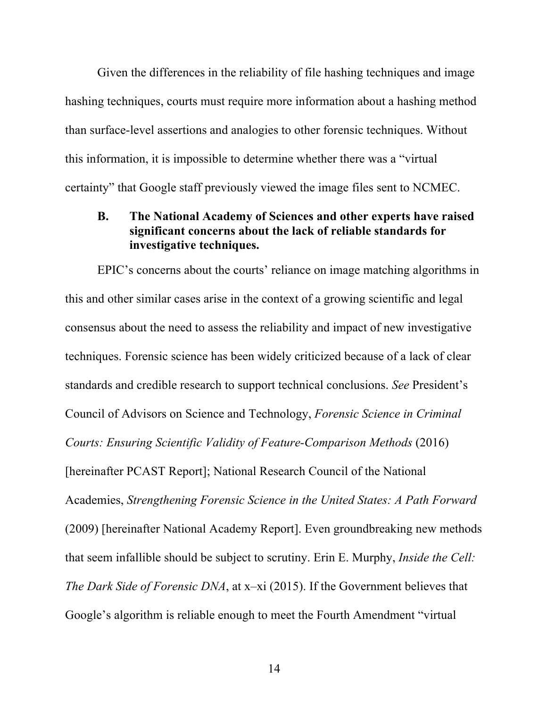Given the differences in the reliability of file hashing techniques and image hashing techniques, courts must require more information about a hashing method than surface-level assertions and analogies to other forensic techniques. Without this information, it is impossible to determine whether there was a "virtual certainty" that Google staff previously viewed the image files sent to NCMEC.

# **B. The National Academy of Sciences and other experts have raised significant concerns about the lack of reliable standards for investigative techniques.**

EPIC's concerns about the courts' reliance on image matching algorithms in this and other similar cases arise in the context of a growing scientific and legal consensus about the need to assess the reliability and impact of new investigative techniques. Forensic science has been widely criticized because of a lack of clear standards and credible research to support technical conclusions. *See* President's Council of Advisors on Science and Technology, *Forensic Science in Criminal Courts: Ensuring Scientific Validity of Feature-Comparison Methods* (2016) [hereinafter PCAST Report]; National Research Council of the National Academies, *Strengthening Forensic Science in the United States: A Path Forward* (2009) [hereinafter National Academy Report]. Even groundbreaking new methods that seem infallible should be subject to scrutiny. Erin E. Murphy, *Inside the Cell: The Dark Side of Forensic DNA*, at x–xi (2015). If the Government believes that Google's algorithm is reliable enough to meet the Fourth Amendment "virtual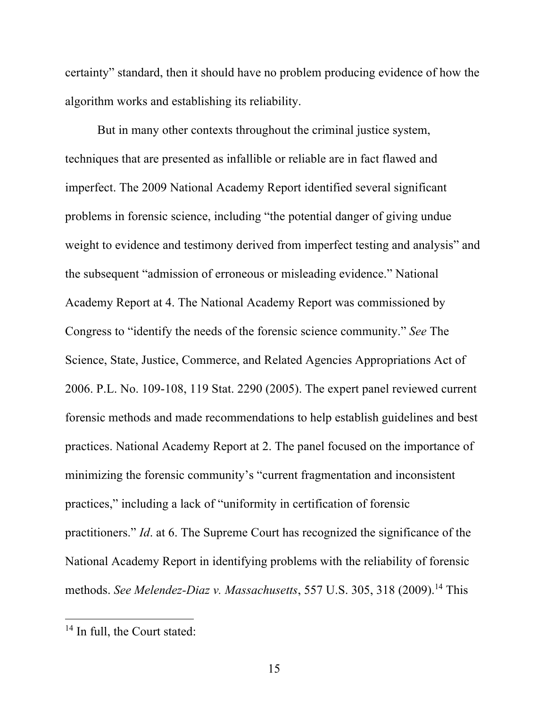certainty" standard, then it should have no problem producing evidence of how the algorithm works and establishing its reliability.

But in many other contexts throughout the criminal justice system, techniques that are presented as infallible or reliable are in fact flawed and imperfect. The 2009 National Academy Report identified several significant problems in forensic science, including "the potential danger of giving undue weight to evidence and testimony derived from imperfect testing and analysis" and the subsequent "admission of erroneous or misleading evidence." National Academy Report at 4. The National Academy Report was commissioned by Congress to "identify the needs of the forensic science community." *See* The Science, State, Justice, Commerce, and Related Agencies Appropriations Act of 2006. P.L. No. 109-108, 119 Stat. 2290 (2005). The expert panel reviewed current forensic methods and made recommendations to help establish guidelines and best practices. National Academy Report at 2. The panel focused on the importance of minimizing the forensic community's "current fragmentation and inconsistent practices," including a lack of "uniformity in certification of forensic practitioners." *Id*. at 6. The Supreme Court has recognized the significance of the National Academy Report in identifying problems with the reliability of forensic methods. *See Melendez-Diaz v. Massachusetts*, 557 U.S. 305, 318 (2009). <sup>14</sup> This

 <sup>14</sup> In full, the Court stated: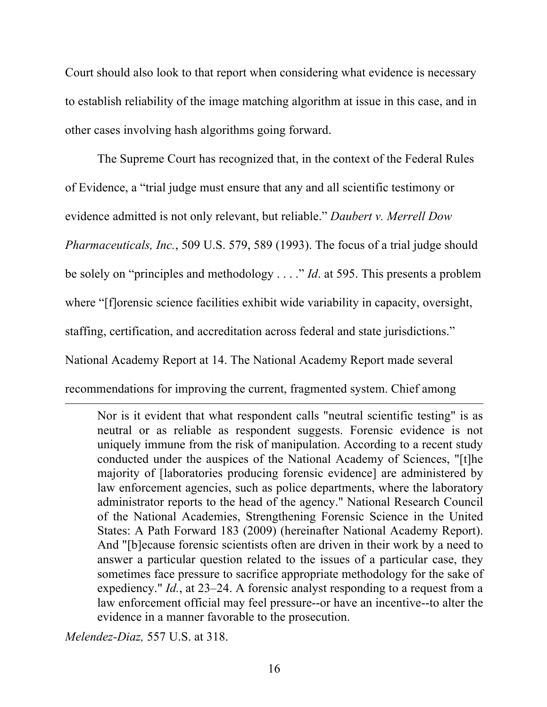Court should also look to that report when considering what evidence is necessary to establish reliability of the image matching algorithm at issue in this case, and in other cases involving hash algorithms going forward.

The Supreme Court has recognized that, in the context of the Federal Rules of Evidence, a "trial judge must ensure that any and all scientific testimony or evidence admitted is not only relevant, but reliable." *Daubert v. Merrell Dow Pharmaceuticals, Inc.*, 509 U.S. 579, 589 (1993). The focus of a trial judge should be solely on "principles and methodology . . . ." *Id*. at 595. This presents a problem where "[f]orensic science facilities exhibit wide variability in capacity, oversight, staffing, certification, and accreditation across federal and state jurisdictions." National Academy Report at 14. The National Academy Report made several recommendations for improving the current, fragmented system. Chief among

<u> 1989 - Andrea Santa Andrea Santa Andrea Andrea Santa Andrea Andrea Andrea Andrea Andrea Andrea Andrea Andrea</u>

Nor is it evident that what respondent calls "neutral scientific testing" is as neutral or as reliable as respondent suggests. Forensic evidence is not uniquely immune from the risk of manipulation. According to a recent study conducted under the auspices of the National Academy of Sciences, "[t]he majority of [laboratories producing forensic evidence] are administered by law enforcement agencies, such as police departments, where the laboratory administrator reports to the head of the agency." National Research Council of the National Academies, Strengthening Forensic Science in the United States: A Path Forward 183 (2009) (hereinafter National Academy Report). And "[b]ecause forensic scientists often are driven in their work by a need to answer a particular question related to the issues of a particular case, they sometimes face pressure to sacrifice appropriate methodology for the sake of expediency." *Id.*, at 23–24. A forensic analyst responding to a request from a law enforcement official may feel pressure--or have an incentive--to alter the evidence in a manner favorable to the prosecution.

*Melendez-Diaz,* 557 U.S. at 318.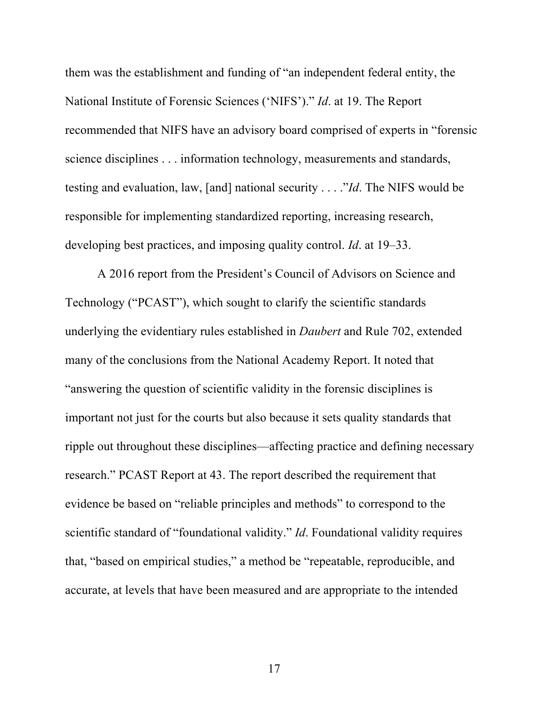them was the establishment and funding of "an independent federal entity, the National Institute of Forensic Sciences ('NIFS')." *Id*. at 19. The Report recommended that NIFS have an advisory board comprised of experts in "forensic science disciplines . . . information technology, measurements and standards, testing and evaluation, law, [and] national security . . . ."*Id*. The NIFS would be responsible for implementing standardized reporting, increasing research, developing best practices, and imposing quality control. *Id*. at 19–33.

A 2016 report from the President's Council of Advisors on Science and Technology ("PCAST"), which sought to clarify the scientific standards underlying the evidentiary rules established in *Daubert* and Rule 702, extended many of the conclusions from the National Academy Report. It noted that "answering the question of scientific validity in the forensic disciplines is important not just for the courts but also because it sets quality standards that ripple out throughout these disciplines—affecting practice and defining necessary research." PCAST Report at 43. The report described the requirement that evidence be based on "reliable principles and methods" to correspond to the scientific standard of "foundational validity." *Id*. Foundational validity requires that, "based on empirical studies," a method be "repeatable, reproducible, and accurate, at levels that have been measured and are appropriate to the intended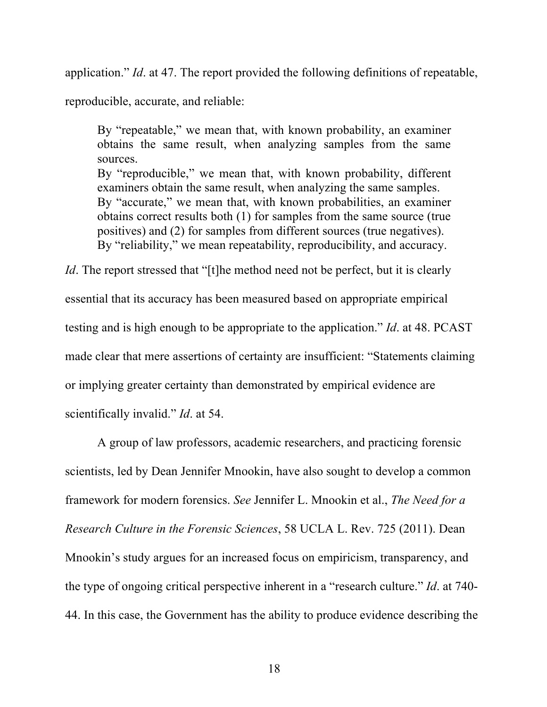application." *Id*. at 47. The report provided the following definitions of repeatable,

reproducible, accurate, and reliable:

By "repeatable," we mean that, with known probability, an examiner obtains the same result, when analyzing samples from the same sources. By "reproducible," we mean that, with known probability, different examiners obtain the same result, when analyzing the same samples. By "accurate," we mean that, with known probabilities, an examiner obtains correct results both (1) for samples from the same source (true positives) and (2) for samples from different sources (true negatives). By "reliability," we mean repeatability, reproducibility, and accuracy.

*Id*. The report stressed that "[t]he method need not be perfect, but it is clearly essential that its accuracy has been measured based on appropriate empirical testing and is high enough to be appropriate to the application." *Id*. at 48. PCAST made clear that mere assertions of certainty are insufficient: "Statements claiming or implying greater certainty than demonstrated by empirical evidence are scientifically invalid." *Id*. at 54.

A group of law professors, academic researchers, and practicing forensic scientists, led by Dean Jennifer Mnookin, have also sought to develop a common framework for modern forensics. *See* Jennifer L. Mnookin et al., *The Need for a Research Culture in the Forensic Sciences*, 58 UCLA L. Rev. 725 (2011). Dean Mnookin's study argues for an increased focus on empiricism, transparency, and the type of ongoing critical perspective inherent in a "research culture." *Id*. at 740- 44. In this case, the Government has the ability to produce evidence describing the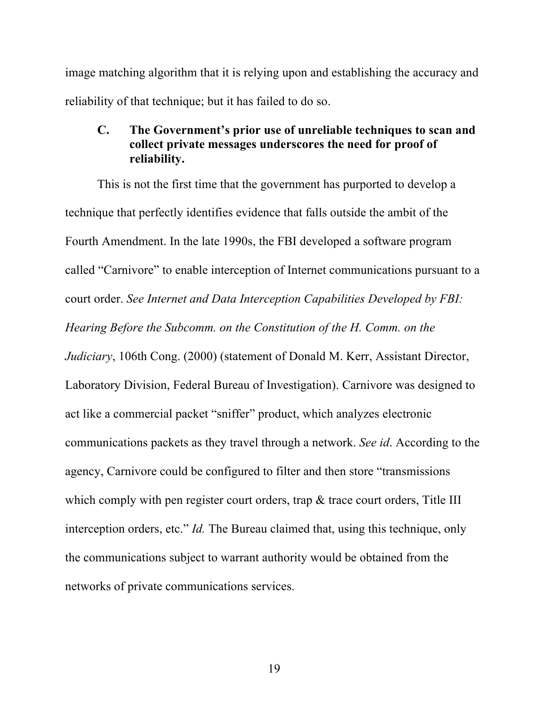image matching algorithm that it is relying upon and establishing the accuracy and reliability of that technique; but it has failed to do so.

# **C. The Government's prior use of unreliable techniques to scan and collect private messages underscores the need for proof of reliability.**

This is not the first time that the government has purported to develop a technique that perfectly identifies evidence that falls outside the ambit of the Fourth Amendment. In the late 1990s, the FBI developed a software program called "Carnivore" to enable interception of Internet communications pursuant to a court order. *See Internet and Data Interception Capabilities Developed by FBI: Hearing Before the Subcomm. on the Constitution of the H. Comm. on the Judiciary*, 106th Cong. (2000) (statement of Donald M. Kerr, Assistant Director, Laboratory Division, Federal Bureau of Investigation). Carnivore was designed to act like a commercial packet "sniffer" product, which analyzes electronic communications packets as they travel through a network. *See id*. According to the agency, Carnivore could be configured to filter and then store "transmissions which comply with pen register court orders, trap & trace court orders, Title III interception orders, etc." *Id.* The Bureau claimed that, using this technique, only the communications subject to warrant authority would be obtained from the networks of private communications services.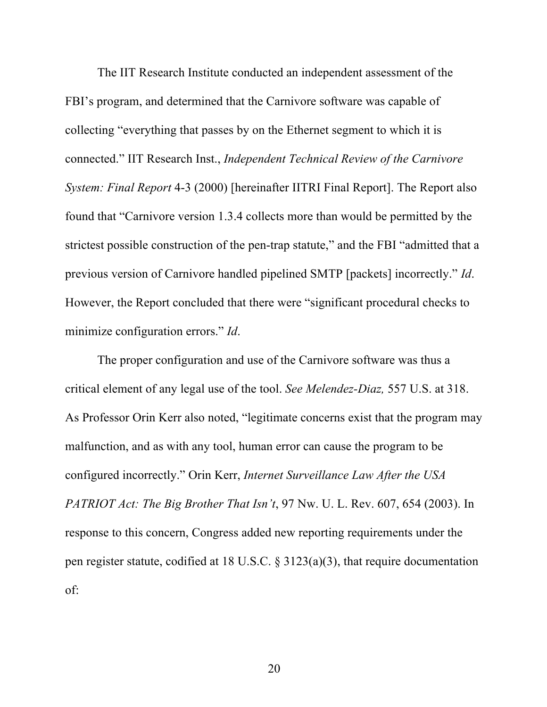The IIT Research Institute conducted an independent assessment of the FBI's program, and determined that the Carnivore software was capable of collecting "everything that passes by on the Ethernet segment to which it is connected." IIT Research Inst., *Independent Technical Review of the Carnivore System: Final Report* 4-3 (2000) [hereinafter IITRI Final Report]. The Report also found that "Carnivore version 1.3.4 collects more than would be permitted by the strictest possible construction of the pen-trap statute," and the FBI "admitted that a previous version of Carnivore handled pipelined SMTP [packets] incorrectly." *Id*. However, the Report concluded that there were "significant procedural checks to minimize configuration errors." *Id*.

The proper configuration and use of the Carnivore software was thus a critical element of any legal use of the tool. *See Melendez-Diaz,* 557 U.S. at 318. As Professor Orin Kerr also noted, "legitimate concerns exist that the program may malfunction, and as with any tool, human error can cause the program to be configured incorrectly." Orin Kerr, *Internet Surveillance Law After the USA PATRIOT Act: The Big Brother That Isn't*, 97 Nw. U. L. Rev. 607, 654 (2003). In response to this concern, Congress added new reporting requirements under the pen register statute, codified at 18 U.S.C. § 3123(a)(3), that require documentation of: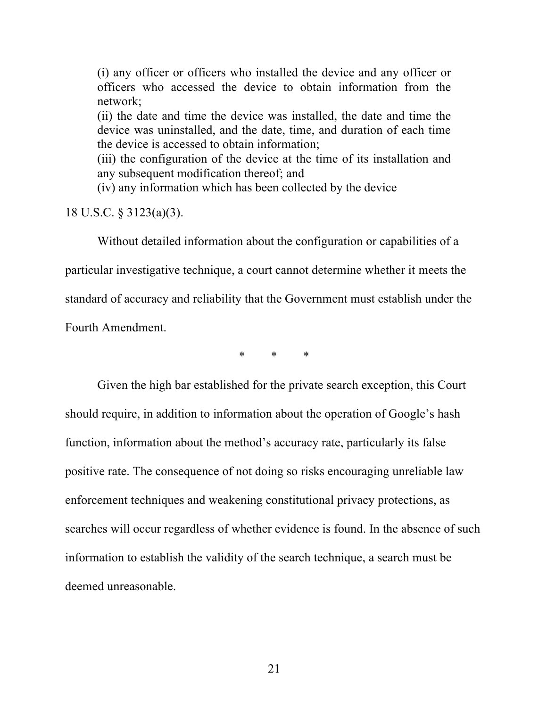(i) any officer or officers who installed the device and any officer or officers who accessed the device to obtain information from the network;

(ii) the date and time the device was installed, the date and time the device was uninstalled, and the date, time, and duration of each time the device is accessed to obtain information;

(iii) the configuration of the device at the time of its installation and any subsequent modification thereof; and

(iv) any information which has been collected by the device

18 U.S.C. § 3123(a)(3).

Without detailed information about the configuration or capabilities of a particular investigative technique, a court cannot determine whether it meets the standard of accuracy and reliability that the Government must establish under the Fourth Amendment.

 $*$   $*$ 

Given the high bar established for the private search exception, this Court should require, in addition to information about the operation of Google's hash function, information about the method's accuracy rate, particularly its false positive rate. The consequence of not doing so risks encouraging unreliable law enforcement techniques and weakening constitutional privacy protections, as searches will occur regardless of whether evidence is found. In the absence of such information to establish the validity of the search technique, a search must be deemed unreasonable.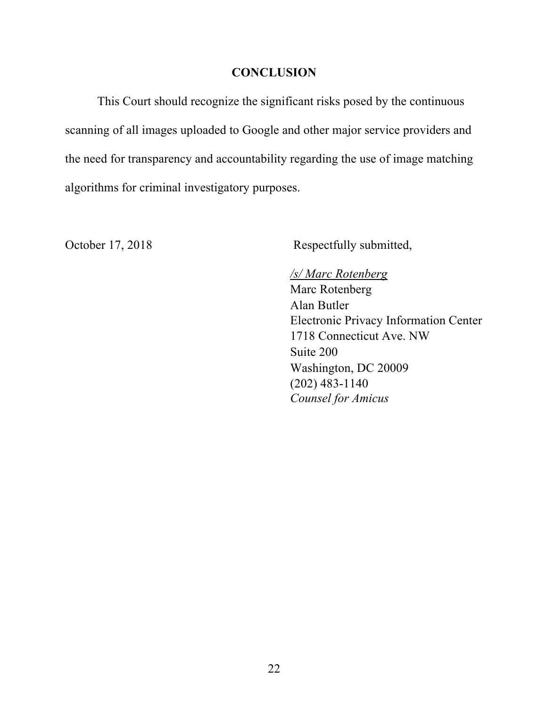# **CONCLUSION**

This Court should recognize the significant risks posed by the continuous scanning of all images uploaded to Google and other major service providers and the need for transparency and accountability regarding the use of image matching algorithms for criminal investigatory purposes.

October 17, 2018 Respectfully submitted,

### */s/ Marc Rotenberg*

Marc Rotenberg Alan Butler Electronic Privacy Information Center 1718 Connecticut Ave. NW Suite 200 Washington, DC 20009 (202) 483-1140 *Counsel for Amicus*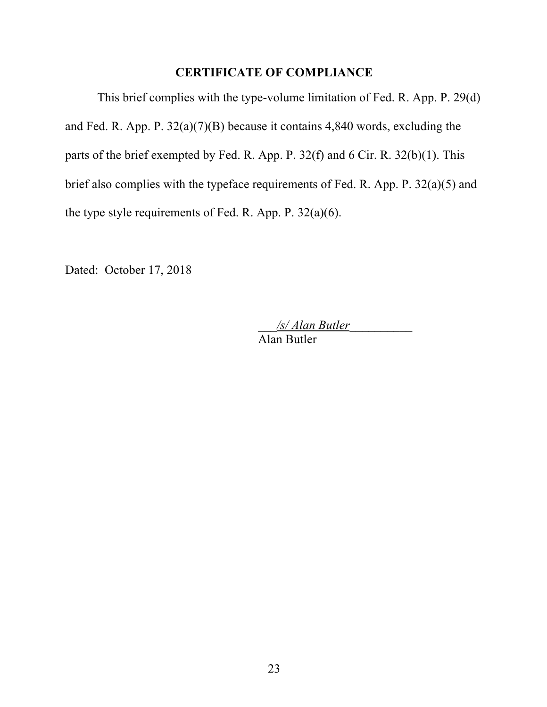# **CERTIFICATE OF COMPLIANCE**

This brief complies with the type-volume limitation of Fed. R. App. P. 29(d) and Fed. R. App. P. 32(a)(7)(B) because it contains 4,840 words, excluding the parts of the brief exempted by Fed. R. App. P. 32(f) and 6 Cir. R. 32(b)(1). This brief also complies with the typeface requirements of Fed. R. App. P. 32(a)(5) and the type style requirements of Fed. R. App. P. 32(a)(6).

Dated: October 17, 2018

\_\_\_*/s/ Alan Butler*\_\_\_\_\_\_\_\_\_\_ Alan Butler